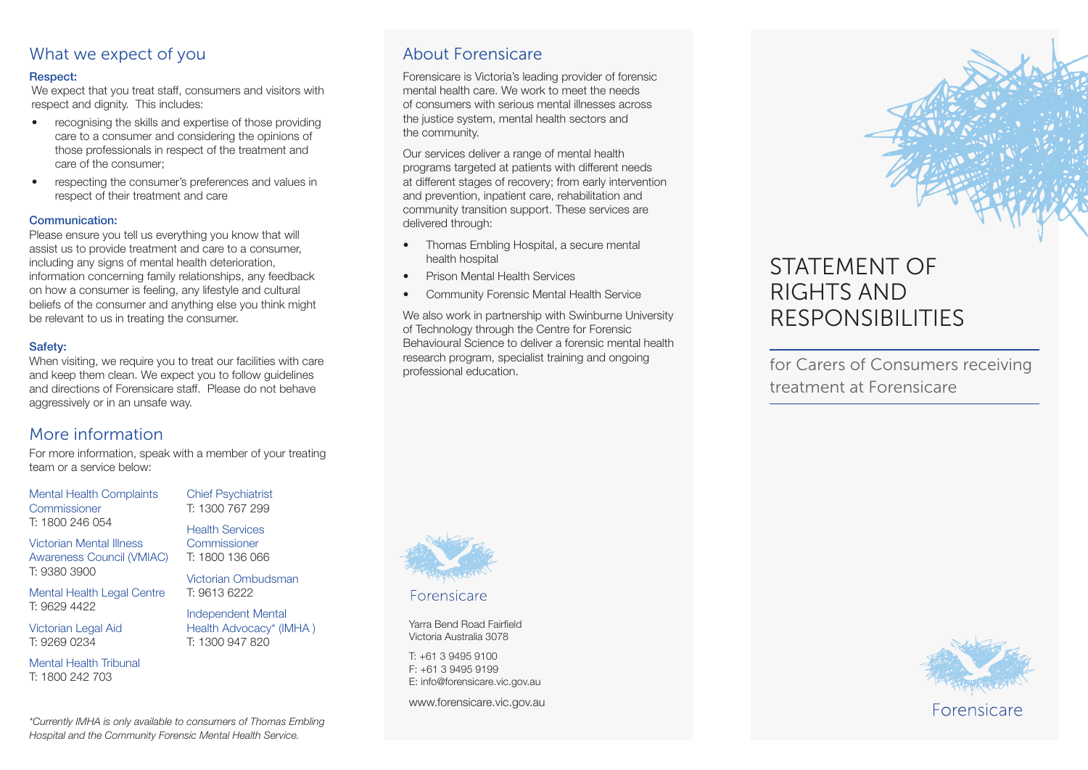### What we expect of you

### Respect:

We expect that you treat staff, consumers and visitors with respect and dignity. This includes:

- recognising the skills and expertise of those providing care to a consumer and considering the opinions of those professionals in respect of the treatment and care of the consumer;
- respecting the consumer's preferences and values in respect of their treatment and care

### Communication:

Please ensure you tell us everything you know that will assist us to provide treatment and care to a consumer, including any signs of mental health deterioration, information concerning family relationships, any feedback on how a consumer is feeling, any lifestyle and cultural beliefs of the consumer and anything else you think might be relevant to us in treating the consumer.

### Safety:

When visiting, we require you to treat our facilities with care and keep them clean. We expect you to follow guidelines and directions of Forensicare staff. Please do not behave aggressively or in an unsafe way.

### More information

For more information, speak with a member of your treating team or a service below:

Mental Health Complaints **Commissioner** T: 1800 246 054

Victorian Mental Illness Awareness Council (VMIAC) T: 9380 3900

Mental Health Legal Centre T: 9629 4422

Victorian Legal Aid T: 9269 0234

Mental Health Tribunal T: 1800 242 703

Chief Psychiatrist T: 1300 767 299

Health Services **Commissioner** T: 1800 136 066

Victorian Ombudsman T: 9613 6222

Independent Mental Health Advocacy\* (IMHA ) T: 1300 947 820

About Forensicare

Forensicare is Victoria's leading provider of forensic mental health care. We work to meet the needs of consumers with serious mental illnesses across the justice system, mental health sectors and the community.

Our services deliver a range of mental health programs targeted at patients with different needs at different stages of recovery; from early intervention and prevention, inpatient care, rehabilitation and community transition support. These services are delivered through:

- Thomas Embling Hospital, a secure mental health hospital
- Prison Mental Health Services
- Community Forensic Mental Health Service

We also work in partnership with Swinburne University of Technology through the Centre for Forensic Behavioural Science to deliver a forensic mental health research program, specialist training and ongoing research program, specialist training and ongoing<br>professional education.



Forensicare

Yarra Bend Road Fairfield Victoria Australia 3078

T: +61 3 9495 9100 F: +61 3 9495 9199 E: info@forensicare.vic.gov.au

www.forensicare.vic.gov.au

# STATEMENT OF RIGHTS AND RESPONSIBILITIES

treatment at Forensicare



*\*Currently IMHA is only available to consumers of Thomas Embling Hospital and the Community Forensic Mental Health Service.*